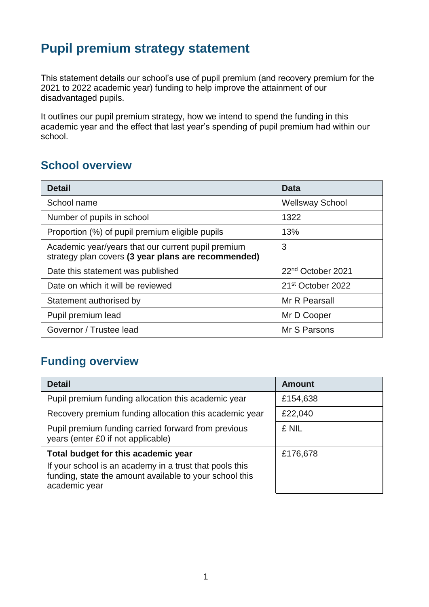## **Pupil premium strategy statement**

This statement details our school's use of pupil premium (and recovery premium for the 2021 to 2022 academic year) funding to help improve the attainment of our disadvantaged pupils.

It outlines our pupil premium strategy, how we intend to spend the funding in this academic year and the effect that last year's spending of pupil premium had within our school.

## **School overview**

| <b>Detail</b>                                                                                             | Data                          |
|-----------------------------------------------------------------------------------------------------------|-------------------------------|
| School name                                                                                               | <b>Wellsway School</b>        |
| Number of pupils in school                                                                                | 1322                          |
| Proportion (%) of pupil premium eligible pupils                                                           | 13%                           |
| Academic year/years that our current pupil premium<br>strategy plan covers (3 year plans are recommended) | 3                             |
| Date this statement was published                                                                         | 22 <sup>nd</sup> October 2021 |
| Date on which it will be reviewed                                                                         | 21 <sup>st</sup> October 2022 |
| Statement authorised by                                                                                   | Mr R Pearsall                 |
| Pupil premium lead                                                                                        | Mr D Cooper                   |
| Governor / Trustee lead                                                                                   | Mr S Parsons                  |

## **Funding overview**

| <b>Detail</b>                                                                                                                       | <b>Amount</b> |
|-------------------------------------------------------------------------------------------------------------------------------------|---------------|
| Pupil premium funding allocation this academic year                                                                                 | £154,638      |
| Recovery premium funding allocation this academic year                                                                              | £22,040       |
| Pupil premium funding carried forward from previous<br>years (enter £0 if not applicable)                                           | £ NIL         |
| Total budget for this academic year                                                                                                 | £176,678      |
| If your school is an academy in a trust that pools this<br>funding, state the amount available to your school this<br>academic year |               |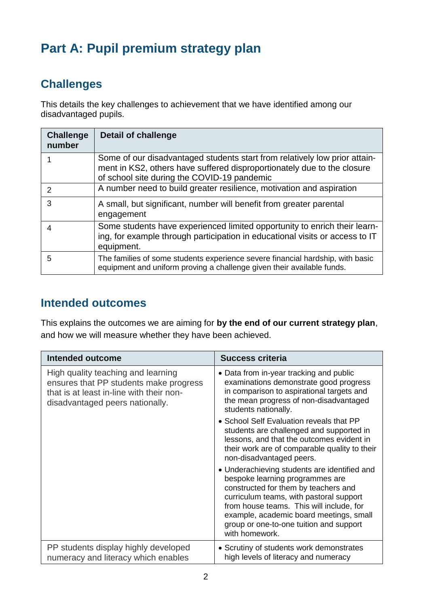# **Part A: Pupil premium strategy plan**

## **Challenges**

This details the key challenges to achievement that we have identified among our disadvantaged pupils.

| <b>Challenge</b><br>number | <b>Detail of challenge</b>                                                                                                                                                                           |
|----------------------------|------------------------------------------------------------------------------------------------------------------------------------------------------------------------------------------------------|
|                            | Some of our disadvantaged students start from relatively low prior attain-<br>ment in KS2, others have suffered disproportionately due to the closure<br>of school site during the COVID-19 pandemic |
| 2                          | A number need to build greater resilience, motivation and aspiration                                                                                                                                 |
| 3                          | A small, but significant, number will benefit from greater parental<br>engagement                                                                                                                    |
| 4                          | Some students have experienced limited opportunity to enrich their learn-<br>ing, for example through participation in educational visits or access to IT<br>equipment.                              |
| 5                          | The families of some students experience severe financial hardship, with basic<br>equipment and uniform proving a challenge given their available funds.                                             |

### **Intended outcomes**

This explains the outcomes we are aiming for **by the end of our current strategy plan**, and how we will measure whether they have been achieved.

| Intended outcome                                                                                                                                            | <b>Success criteria</b>                                                                                                                                                                                                                                                                                                |
|-------------------------------------------------------------------------------------------------------------------------------------------------------------|------------------------------------------------------------------------------------------------------------------------------------------------------------------------------------------------------------------------------------------------------------------------------------------------------------------------|
| High quality teaching and learning<br>ensures that PP students make progress<br>that is at least in-line with their non-<br>disadvantaged peers nationally. | • Data from in-year tracking and public<br>examinations demonstrate good progress<br>in comparison to aspirational targets and<br>the mean progress of non-disadvantaged<br>students nationally.                                                                                                                       |
|                                                                                                                                                             | • School Self Evaluation reveals that PP<br>students are challenged and supported in<br>lessons, and that the outcomes evident in<br>their work are of comparable quality to their<br>non-disadvantaged peers.                                                                                                         |
|                                                                                                                                                             | • Underachieving students are identified and<br>bespoke learning programmes are<br>constructed for them by teachers and<br>curriculum teams, with pastoral support<br>from house teams. This will include, for<br>example, academic board meetings, small<br>group or one-to-one tuition and support<br>with homework. |
| PP students display highly developed<br>numeracy and literacy which enables                                                                                 | • Scrutiny of students work demonstrates<br>high levels of literacy and numeracy                                                                                                                                                                                                                                       |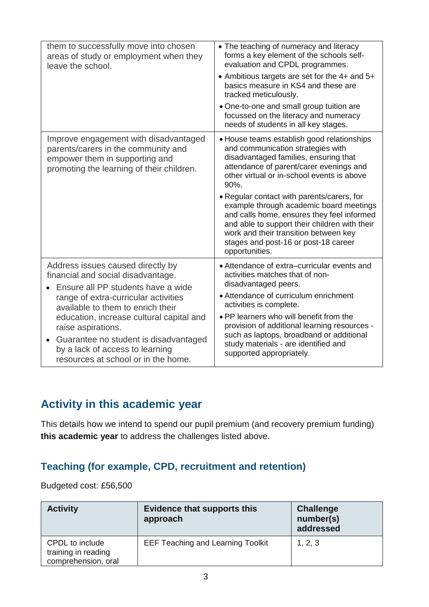| them to successfully move into chosen                                                                                                                       | • The teaching of numeracy and literacy                                                                                                                                                                                                                                                 |
|-------------------------------------------------------------------------------------------------------------------------------------------------------------|-----------------------------------------------------------------------------------------------------------------------------------------------------------------------------------------------------------------------------------------------------------------------------------------|
| areas of study or employment when they                                                                                                                      | forms a key element of the schools self-                                                                                                                                                                                                                                                |
| leave the school.                                                                                                                                           | evaluation and CPDL programmes.                                                                                                                                                                                                                                                         |
|                                                                                                                                                             | • Ambitious targets are set for the 4+ and 5+<br>basics measure in KS4 and these are<br>tracked meticulously.                                                                                                                                                                           |
|                                                                                                                                                             | • One-to-one and small group tuition are<br>focussed on the literacy and numeracy<br>needs of students in all key stages.                                                                                                                                                               |
| Improve engagement with disadvantaged<br>parents/carers in the community and<br>empower them in supporting and<br>promoting the learning of their children. | • House teams establish good relationships<br>and communication strategies with<br>disadvantaged families, ensuring that<br>attendance of parent/carer evenings and<br>other virtual or in-school events is above<br>90%.                                                               |
|                                                                                                                                                             | • Regular contact with parents/carers, for<br>example through academic board meetings<br>and calls home, ensures they feel informed<br>and able to support their children with their<br>work and their transition between key<br>stages and post-16 or post-18 career<br>opportunities. |
| Address issues caused directly by                                                                                                                           | • Attendance of extra-curricular events and                                                                                                                                                                                                                                             |
| financial and social disadvantage.                                                                                                                          | activities matches that of non-                                                                                                                                                                                                                                                         |
| Ensure all PP students have a wide                                                                                                                          | disadvantaged peers.                                                                                                                                                                                                                                                                    |
| range of extra-curricular activities                                                                                                                        | • Attendance of curriculum enrichment                                                                                                                                                                                                                                                   |
| available to them to enrich their                                                                                                                           | activities is complete.                                                                                                                                                                                                                                                                 |
| education, increase cultural capital and                                                                                                                    | • PP learners who will benefit from the                                                                                                                                                                                                                                                 |
| raise aspirations.                                                                                                                                          | provision of additional learning resources -                                                                                                                                                                                                                                            |
| Guarantee no student is disadvantaged                                                                                                                       | such as laptops, broadband or additional                                                                                                                                                                                                                                                |
| by a lack of access to learning                                                                                                                             | study materials - are identified and                                                                                                                                                                                                                                                    |
| resources at school or in the home.                                                                                                                         | supported appropriately.                                                                                                                                                                                                                                                                |

### **Activity in this academic year**

This details how we intend to spend our pupil premium (and recovery premium funding) **this academic year** to address the challenges listed above.

#### **Teaching (for example, CPD, recruitment and retention)**

Budgeted cost: £56,500

| <b>Activity</b>                                               | <b>Evidence that supports this</b><br>approach | <b>Challenge</b><br>number(s)<br>addressed |
|---------------------------------------------------------------|------------------------------------------------|--------------------------------------------|
| CPDL to include<br>training in reading<br>comprehension, oral | <b>EEF Teaching and Learning Toolkit</b>       | 1, 2, 3                                    |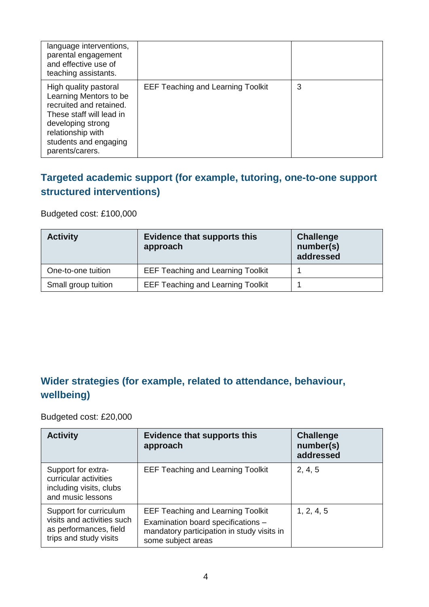| language interventions,<br>parental engagement<br>and effective use of<br>teaching assistants.                                                                                               |                                          |   |
|----------------------------------------------------------------------------------------------------------------------------------------------------------------------------------------------|------------------------------------------|---|
| High quality pastoral<br>Learning Mentors to be<br>recruited and retained.<br>These staff will lead in<br>developing strong<br>relationship with<br>students and engaging<br>parents/carers. | <b>EEF Teaching and Learning Toolkit</b> | 3 |

#### **Targeted academic support (for example, tutoring, one-to-one support structured interventions)**

Budgeted cost: £100,000

| <b>Activity</b>     | <b>Evidence that supports this</b><br>approach | <b>Challenge</b><br>number(s)<br>addressed |
|---------------------|------------------------------------------------|--------------------------------------------|
| One-to-one tuition  | <b>EEF Teaching and Learning Toolkit</b>       |                                            |
| Small group tuition | <b>EEF Teaching and Learning Toolkit</b>       |                                            |

## **Wider strategies (for example, related to attendance, behaviour, wellbeing)**

Budgeted cost: £20,000

| <b>Activity</b>                                                                                          | <b>Evidence that supports this</b><br>approach                                                                                                     | <b>Challenge</b><br>number(s)<br>addressed |
|----------------------------------------------------------------------------------------------------------|----------------------------------------------------------------------------------------------------------------------------------------------------|--------------------------------------------|
| Support for extra-<br>curricular activities<br>including visits, clubs<br>and music lessons              | <b>EEF Teaching and Learning Toolkit</b>                                                                                                           | 2, 4, 5                                    |
| Support for curriculum<br>visits and activities such<br>as performances, field<br>trips and study visits | <b>EEF Teaching and Learning Toolkit</b><br>Examination board specifications -<br>mandatory participation in study visits in<br>some subject areas | 1, 2, 4, 5                                 |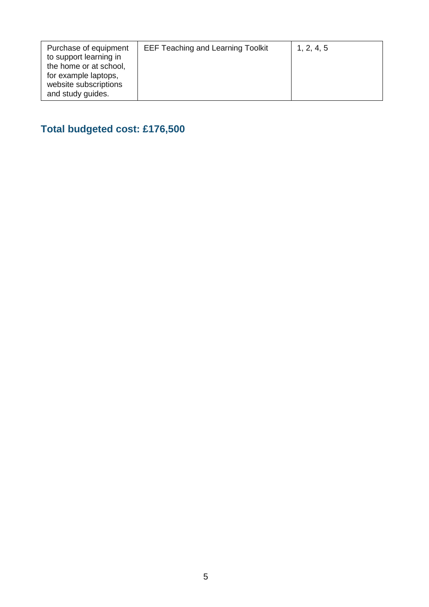| Purchase of equipment<br><b>EEF Teaching and Learning Toolkit</b><br>1, 2, 4, 5<br>to support learning in<br>the home or at school,<br>for example laptops,<br>website subscriptions<br>and study guides. |  |
|-----------------------------------------------------------------------------------------------------------------------------------------------------------------------------------------------------------|--|
|-----------------------------------------------------------------------------------------------------------------------------------------------------------------------------------------------------------|--|

## **Total budgeted cost: £176,500**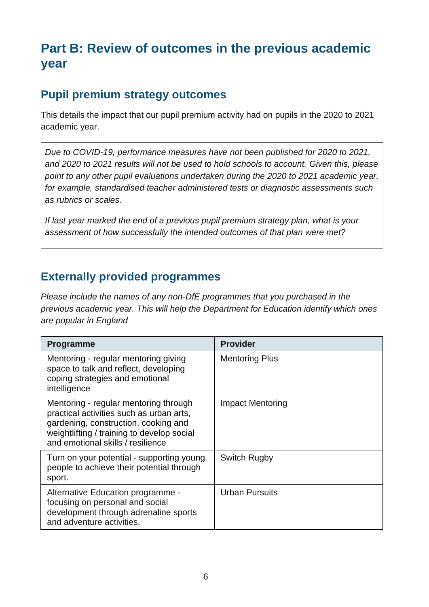## **Part B: Review of outcomes in the previous academic year**

## **Pupil premium strategy outcomes**

This details the impact that our pupil premium activity had on pupils in the 2020 to 2021 academic year.

*Due to COVID-19, performance measures have not been published for 2020 to 2021, and 2020 to 2021 results will not be used to hold schools to account. Given this, please point to any other pupil evaluations undertaken during the 2020 to 2021 academic year, for example, standardised teacher administered tests or diagnostic assessments such as rubrics or scales.*

*If last year marked the end of a previous pupil premium strategy plan, what is your assessment of how successfully the intended outcomes of that plan were met?* 

#### **Externally provided programmes**

*Please include the names of any non-DfE programmes that you purchased in the previous academic year. This will help the Department for Education identify which ones are popular in England*

| <b>Programme</b>                                                                                                                                                                                             | <b>Provider</b>         |
|--------------------------------------------------------------------------------------------------------------------------------------------------------------------------------------------------------------|-------------------------|
| Mentoring - regular mentoring giving<br>space to talk and reflect, developing<br>coping strategies and emotional<br>intelligence                                                                             | <b>Mentoring Plus</b>   |
| Mentoring - regular mentoring through<br>practical activities such as urban arts,<br>gardening, construction, cooking and<br>weightlifting / training to develop social<br>and emotional skills / resilience | <b>Impact Mentoring</b> |
| Turn on your potential - supporting young<br>people to achieve their potential through<br>sport.                                                                                                             | Switch Rugby            |
| Alternative Education programme -<br>focusing on personal and social<br>development through adrenaline sports<br>and adventure activities.                                                                   | <b>Urban Pursuits</b>   |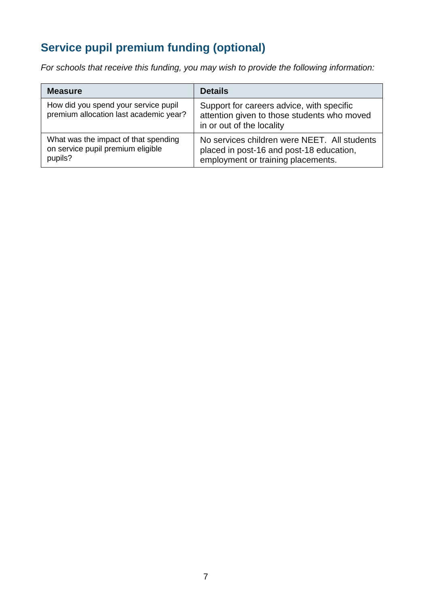## **Service pupil premium funding (optional)**

*For schools that receive this funding, you may wish to provide the following information:* 

| <b>Measure</b>                                                                       | <b>Details</b>                                                                                                                 |
|--------------------------------------------------------------------------------------|--------------------------------------------------------------------------------------------------------------------------------|
| How did you spend your service pupil<br>premium allocation last academic year?       | Support for careers advice, with specific<br>attention given to those students who moved<br>in or out of the locality          |
| What was the impact of that spending<br>on service pupil premium eligible<br>pupils? | No services children were NEET. All students<br>placed in post-16 and post-18 education,<br>employment or training placements. |